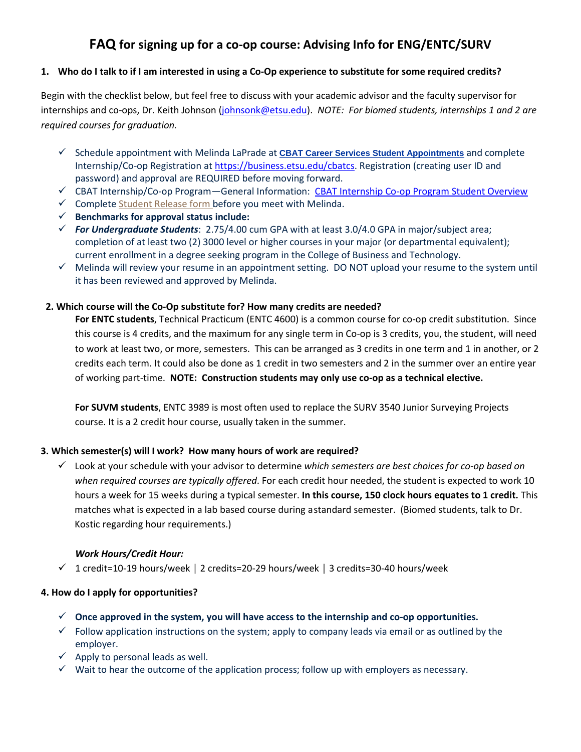# **FAQ for signing up for a co-op course: Advising Info for ENG/ENTC/SURV**

## **1. Who do I talk to if I am interested in using a Co-Op experience to substitute for some required credits?**

Begin with the checklist below, but feel free to discuss with your academic advisor and the faculty supervisor for internships and co-ops, Dr. Keith Johnson [\(johnsonk@etsu.edu\)](mailto:johnsonk@etsu.edu). *NOTE: For biomed students, internships 1 and 2 are required courses for graduation.*

- Schedule appointment with Melinda LaPrade at **[CBAT Career Services Student Appointments](http://www.snapappointments.com/listing/3Op)** and complete Internship/Co-op Registration at [https://business.etsu.edu/cbatcs.](https://business.etsu.edu/cbatcs) Registration (creating user ID and password) and approval are REQUIRED before moving forward.
- CBAT Internship/Co-op Program—General Information: [CBAT Internship Co-op Program Student Overview](http://www.etsu.edu/cbat/careerservices/internships/students.aspx)
- $\checkmark$  Complete [Student](http://form.jotformpro.com/form/51104368319957) Release form before you meet with Melinda.
- **Benchmarks for approval status include:**
- *For Undergraduate Students*: 2.75/4.00 cum GPA with at least 3.0/4.0 GPA in major/subject area; completion of at least two (2) 3000 level or higher courses in your major (or departmental equivalent); current enrollment in a degree seeking program in the College of Business and Technology.
- $\checkmark$  Melinda will review your resume in an appointment setting. DO NOT upload your resume to the system until it has been reviewed and approved by Melinda.

## **2. Which course will the Co-Op substitute for? How many credits are needed?**

**For ENTC students**, Technical Practicum (ENTC 4600) is a common course for co-op credit substitution. Since this course is 4 credits, and the maximum for any single term in Co-op is 3 credits, you, the student, will need to work at least two, or more, semesters. This can be arranged as 3 credits in one term and 1 in another, or 2 credits each term. It could also be done as 1 credit in two semesters and 2 in the summer over an entire year of working part-time. **NOTE: Construction students may only use co-op as a technical elective.**

**For SUVM students**, ENTC 3989 is most often used to replace the SURV 3540 Junior Surveying Projects course. It is a 2 credit hour course, usually taken in the summer.

## **3. Which semester(s) will I work? How many hours of work are required?**

 Look at your schedule with your advisor to determine *which semesters are best choices for co-op based on when required courses are typically offered*. For each credit hour needed, the student is expected to work 10 hours a week for 15 weeks during a typical semester. **In this course, 150 clock hours equates to 1 credit.** This matches what is expected in a lab based course during a standard semester. (Biomed students, talk to Dr. Kostic regarding hour requirements.)

## *Work Hours/Credit Hour:*

1 credit=10-19 hours/week │ 2 credits=20-29 hours/week │ 3 credits=30-40 hours/week

## **4. How do I apply for opportunities?**

- **Once approved in the system, you will have access to the internship and co-op opportunities.**
- $\checkmark$  Follow application instructions on the system; apply to company leads via email or as outlined by the employer.
- $\checkmark$  Apply to personal leads as well.
- $\checkmark$  Wait to hear the outcome of the application process; follow up with employers as necessary.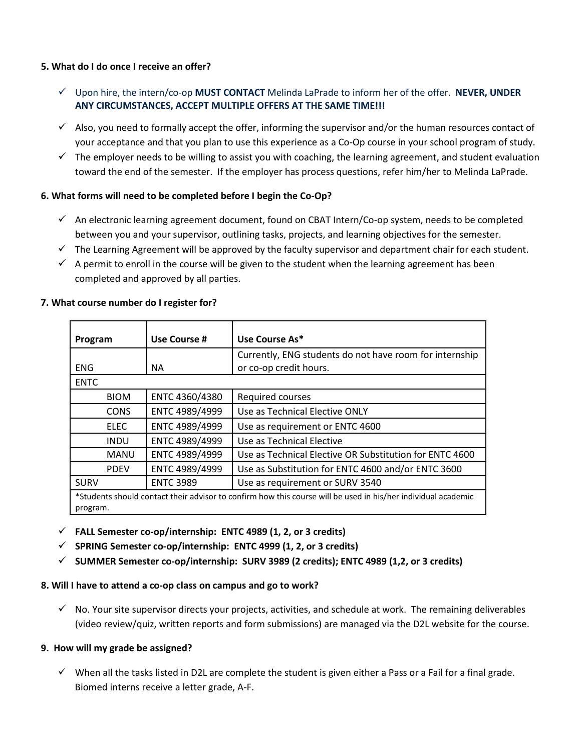## **5. What do I do once I receive an offer?**

- Upon hire, the intern/co-op **MUST CONTACT** Melinda LaPrade to inform her of the offer. **NEVER, UNDER ANY CIRCUMSTANCES, ACCEPT MULTIPLE OFFERS AT THE SAME TIME!!!**
- $\checkmark$  Also, you need to formally accept the offer, informing the supervisor and/or the human resources contact of your acceptance and that you plan to use this experience as a Co-Op course in your school program of study.
- $\checkmark$  The employer needs to be willing to assist you with coaching, the learning agreement, and student evaluation toward the end of the semester. If the employer has process questions, refer him/her to Melinda LaPrade.

## **6. What forms will need to be completed before I begin the Co-Op?**

- $\checkmark$  An electronic learning agreement document, found on CBAT Intern/Co-op system, needs to be completed between you and your supervisor, outlining tasks, projects, and learning objectives for the semester.
- $\checkmark$  The Learning Agreement will be approved by the faculty supervisor and department chair for each student.
- $\checkmark$  A permit to enroll in the course will be given to the student when the learning agreement has been completed and approved by all parties.

| Program                                                                                                                   | Use Course #     | Use Course As*                                          |
|---------------------------------------------------------------------------------------------------------------------------|------------------|---------------------------------------------------------|
|                                                                                                                           |                  | Currently, ENG students do not have room for internship |
| <b>ENG</b>                                                                                                                | NA.              | or co-op credit hours.                                  |
| <b>ENTC</b>                                                                                                               |                  |                                                         |
| <b>BIOM</b>                                                                                                               | ENTC 4360/4380   | Required courses                                        |
| <b>CONS</b>                                                                                                               | ENTC 4989/4999   | Use as Technical Elective ONLY                          |
| <b>ELEC</b>                                                                                                               | ENTC 4989/4999   | Use as requirement or ENTC 4600                         |
| <b>INDU</b>                                                                                                               | ENTC 4989/4999   | Use as Technical Elective                               |
| <b>MANU</b>                                                                                                               | ENTC 4989/4999   | Use as Technical Elective OR Substitution for ENTC 4600 |
| <b>PDEV</b>                                                                                                               | ENTC 4989/4999   | Use as Substitution for ENTC 4600 and/or ENTC 3600      |
| <b>SURV</b>                                                                                                               | <b>ENTC 3989</b> | Use as requirement or SURV 3540                         |
| *Students should contact their advisor to confirm how this course will be used in his/her individual academic<br>program. |                  |                                                         |

## **7. What course number do I register for?**

- **FALL Semester co-op/internship: ENTC 4989 (1, 2, or 3 credits)**
- **SPRING Semester co-op/internship: ENTC 4999 (1, 2, or 3 credits)**
- **SUMMER Semester co-op/internship: SURV 3989 (2 credits); ENTC 4989 (1,2, or 3 credits)**

## **8. Will I have to attend a co-op class on campus and go to work?**

 $\checkmark$  No. Your site supervisor directs your projects, activities, and schedule at work. The remaining deliverables (video review/quiz, written reports and form submissions) are managed via the D2L website for the course.

## **9. How will my grade be assigned?**

 $\checkmark$  When all the tasks listed in D2L are complete the student is given either a Pass or a Fail for a final grade. Biomed interns receive a letter grade, A-F.